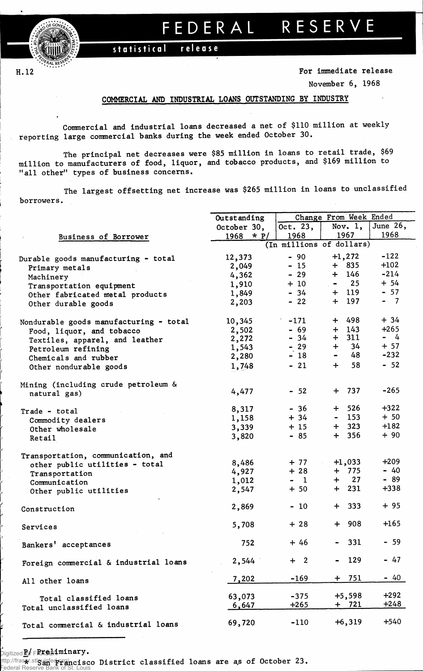$\frac{0.00}{0}$ 

H. 12

## **FEDERA L RESERV E**

statistical release

**For immediate release**

**November 6, 1968**

## COMMERCIAL AND INDUSTRIAL LOANS OUTSTANDING BY INDUSTRY

**Commercial and industrial loans decreased a net of \$110 million at weekly reporting large commercial banks during the week ended October 30.**

**The principal net decreases were \$85 million in loans to retail trade, \$69 million to manufacturers of food, liquor, and tobacco products, and \$169 million to "all other" types of business concerns.**

**The largest offsetting net increase was \$265 million in loans to unclassified borrowers.** 

|                                        | Outstanding    |            | Change From Week Ended           |          |  |  |  |  |
|----------------------------------------|----------------|------------|----------------------------------|----------|--|--|--|--|
|                                        | October 30,    | Oct. $23,$ | Nov. $1,$                        | June 26, |  |  |  |  |
| Business of Borrower                   | $*$ P/<br>1968 | 1968       | 1967<br>(In millions of dollars) |          |  |  |  |  |
|                                        |                |            |                                  |          |  |  |  |  |
| Durable goods manufacturing - total    | 12,373         | $-90$      | $+1,272$                         | $-122$   |  |  |  |  |
| Primary metals                         | 2,049          | $-15$      | $+ 835$                          | $+102$   |  |  |  |  |
| Machinery                              | 4,362          | $-29$      | $+ 146$                          | $-214$   |  |  |  |  |
| Transportation equipment               | 1,910          | $+10$      | $-25$                            | $+ 54$   |  |  |  |  |
| Other fabricated metal products        | 1,849          | $-34$      | $+ 119$                          | $-57$    |  |  |  |  |
| Other durable goods                    | 2,203          | $-22$      | $+ 197$                          | $-7$     |  |  |  |  |
|                                        |                |            |                                  |          |  |  |  |  |
| Nondurable goods manufacturing - total | 10,345         | $-171$     | 498<br>$+$                       | $+34$    |  |  |  |  |
| Food, liquor, and tobacco              | 2,502          | $-69$      | 143<br>$+$                       | $+265$   |  |  |  |  |
| Textiles, apparel, and leather         | 2,272          | $-34$      | 311<br>$+$                       | $-4$     |  |  |  |  |
| Petroleum refining                     | 1,543          | $-29$      | 34<br>$+$                        | $+ 57$   |  |  |  |  |
| Chemicals and rubber                   | 2,280          | $-18$      | 48<br>$\blacksquare$             | $-232$   |  |  |  |  |
| Other nondurable goods                 | 1,748          | $-21$      | 58<br>$+$                        | $-52$    |  |  |  |  |
|                                        |                |            |                                  |          |  |  |  |  |
| Mining (including crude petroleum &    |                |            |                                  |          |  |  |  |  |
| natural gas)                           | 4,477          | $-52$      | $+ 737$                          | $-265$   |  |  |  |  |
|                                        | 8,317          | $-36$      | $+ 526$                          | $+322$   |  |  |  |  |
| Trade - total                          | 1,158          | $+ 34$     | $-153$                           | $+50$    |  |  |  |  |
| Commodity dealers                      | 3,339          | $+15$      | $+ 323$                          | $+182$   |  |  |  |  |
| Other wholesale                        | 3,820          | $-85$      | 356<br>$+$                       | $+90$    |  |  |  |  |
| <b>Retail</b>                          |                |            |                                  |          |  |  |  |  |
| Transportation, communication, and     |                |            |                                  |          |  |  |  |  |
| other public utilities - total         | 8,486          | $+ 77$     | $+1,033$                         | $+209$   |  |  |  |  |
| Transportation                         | 4,927          | $+28$      | $+ 775$                          | $-40$    |  |  |  |  |
| Communication                          | 1,012          | $-1$       | $+$ 27                           | $-89$    |  |  |  |  |
| Other public utilities                 | 2,547          | $+50$      | $+ 231$                          | $+338$   |  |  |  |  |
|                                        |                |            |                                  |          |  |  |  |  |
| Construction                           | 2,869          | $-10$      | $+ 333$                          | $+95$    |  |  |  |  |
|                                        | 5,708          | $+28$      | $+ 908$                          | $+165$   |  |  |  |  |
| Services                               |                |            |                                  |          |  |  |  |  |
| Bankers' acceptances                   | 752            | $+46$      | 331                              | $-59$    |  |  |  |  |
|                                        |                |            |                                  |          |  |  |  |  |
| Foreign commercial & industrial loans  | 2,544          | $+2$       | 129                              | $-47$    |  |  |  |  |
|                                        |                | $-169$     | 751<br>÷.                        | $-40$    |  |  |  |  |
| All other loans                        | 7,202          |            |                                  |          |  |  |  |  |
| Total classified loans                 | 63,073         | $-375$     | $+5,598$                         | $+292$   |  |  |  |  |
| Total unclassified loans               | 6,647          | $+265$     | $+ 721$                          | $+248$   |  |  |  |  |
|                                        |                |            |                                  |          |  |  |  |  |
| Total commercial & industrial loans    | 69,720         | $-110$     | $+6,319$                         | $+540$   |  |  |  |  |

**Pigitized Ref FRASEL Aminary.** 

**If the Area is a set of the Section State of a set of Sections (Section 23.** Federal Reserve